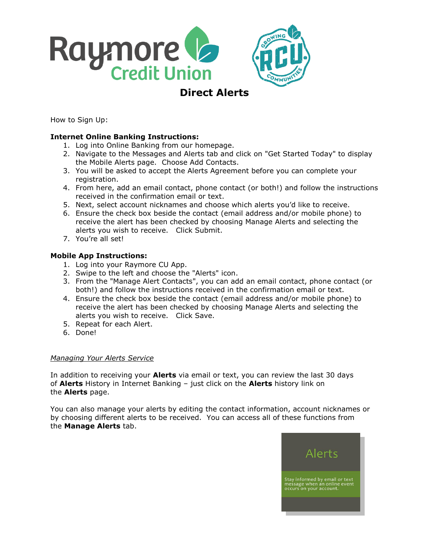

How to Sign Up:

# **Internet Online Banking Instructions:**

- 1. Log into Online Banking from our homepage.
- 2. Navigate to the Messages and Alerts tab and click on "Get Started Today" to display the Mobile Alerts page. Choose Add Contacts.
- 3. You will be asked to accept the Alerts Agreement before you can complete your registration.
- 4. From here, add an email contact, phone contact (or both!) and follow the instructions received in the confirmation email or text.
- 5. Next, select account nicknames and choose which alerts you'd like to receive.
- 6. Ensure the check box beside the contact (email address and/or mobile phone) to receive the alert has been checked by choosing Manage Alerts and selecting the alerts you wish to receive. Click Submit.
- 7. You're all set!

## **Mobile App Instructions:**

- 1. Log into your Raymore CU App.
- 2. Swipe to the left and choose the "Alerts" icon.
- 3. From the "Manage Alert Contacts", you can add an email contact, phone contact (or both!) and follow the instructions received in the confirmation email or text.
- 4. Ensure the check box beside the contact (email address and/or mobile phone) to receive the alert has been checked by choosing Manage Alerts and selecting the alerts you wish to receive. Click Save.
- 5. Repeat for each Alert.
- 6. Done!

## *Managing Your Alerts Service*

In addition to receiving your **Alerts** via email or text, you can review the last 30 days of **Alerts** History in Internet Banking – just click on the **Alerts** history link on the **Alerts** page.

You can also manage your alerts by editing the contact information, account nicknames or by choosing different alerts to be received. You can access all of these functions from the **Manage Alerts** tab.